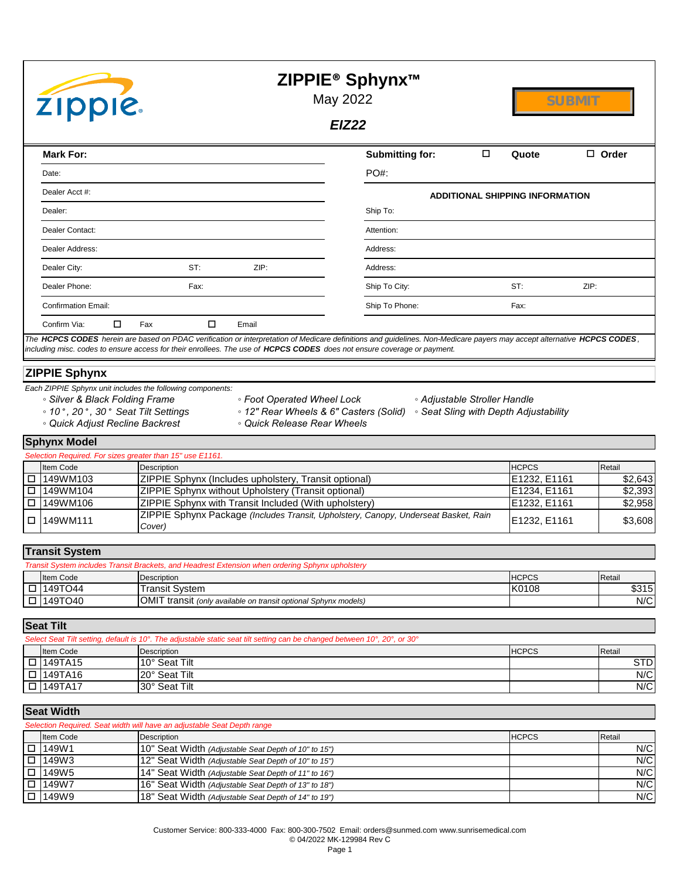| <b>ZIPPIE</b>                                                                                                                                                                                                                                                                                                                                                                                    | ZIPPIE <sup>®</sup> Sphynx <sup>™</sup><br>May 2022<br><b>SUBMIT</b><br><b>EIZ22</b>                                                                                                                                                                                                       |
|--------------------------------------------------------------------------------------------------------------------------------------------------------------------------------------------------------------------------------------------------------------------------------------------------------------------------------------------------------------------------------------------------|--------------------------------------------------------------------------------------------------------------------------------------------------------------------------------------------------------------------------------------------------------------------------------------------|
| <b>Mark For:</b>                                                                                                                                                                                                                                                                                                                                                                                 | Submitting for:<br>$\Box$<br>$\Box$ Order<br>Quote                                                                                                                                                                                                                                         |
| Date:                                                                                                                                                                                                                                                                                                                                                                                            | $PO#$ :                                                                                                                                                                                                                                                                                    |
| Dealer Acct #:                                                                                                                                                                                                                                                                                                                                                                                   | <b>ADDITIONAL SHIPPING INFORMATION</b>                                                                                                                                                                                                                                                     |
| Dealer:                                                                                                                                                                                                                                                                                                                                                                                          | Ship To:                                                                                                                                                                                                                                                                                   |
| Dealer Contact:                                                                                                                                                                                                                                                                                                                                                                                  | Attention:                                                                                                                                                                                                                                                                                 |
| Dealer Address:                                                                                                                                                                                                                                                                                                                                                                                  | Address:                                                                                                                                                                                                                                                                                   |
| Dealer City:<br>ST:<br>ZIP:                                                                                                                                                                                                                                                                                                                                                                      | Address:                                                                                                                                                                                                                                                                                   |
| Dealer Phone:<br>Fax:                                                                                                                                                                                                                                                                                                                                                                            | Ship To City:<br>ST:<br>ZIP:                                                                                                                                                                                                                                                               |
| <b>Confirmation Email:</b>                                                                                                                                                                                                                                                                                                                                                                       | Ship To Phone:<br>Fax:                                                                                                                                                                                                                                                                     |
| П<br>□<br>Confirm Via:<br>Fax<br>Email                                                                                                                                                                                                                                                                                                                                                           |                                                                                                                                                                                                                                                                                            |
| including misc. codes to ensure access for their enrollees. The use of HCPCS CODES does not ensure coverage or payment.<br><b>ZIPPIE Sphynx</b><br>Each ZIPPIE Sphynx unit includes the following components:<br>∘ Silver & Black Folding Frame<br>∘ Foot Operated Wheel Lock<br>∘ 10°, 20°, 30° Seat Tilt Settings<br><sup>o</sup> Quick Adjust Recline Backrest<br>• Quick Release Rear Wheels | The HCPCS CODES herein are based on PDAC verification or interpretation of Medicare definitions and guidelines. Non-Medicare payers may accept alternative HCPCS CODES,<br>• Adjustable Stroller Handle<br>∘ 12" Rear Wheels & 6" Casters (Solid)<br>• Seat Sling with Depth Adjustability |
| <b>Sphynx Model</b>                                                                                                                                                                                                                                                                                                                                                                              |                                                                                                                                                                                                                                                                                            |

| Selection Required. For sizes greater than 15" use E1161. |                                                                                               |              |         |  |  |  |  |  |  |  |  |
|-----------------------------------------------------------|-----------------------------------------------------------------------------------------------|--------------|---------|--|--|--|--|--|--|--|--|
| Item Code                                                 | Description                                                                                   | <b>HCPCS</b> | Retail  |  |  |  |  |  |  |  |  |
| $\Box$ 149WM103                                           | <b>ZIPPIE Sphynx (Includes upholstery, Transit optional)</b>                                  | E1232, E1161 | \$2,643 |  |  |  |  |  |  |  |  |
| I□ 149WM104                                               | ZIPPIE Sphynx without Upholstery (Transit optional)                                           | E1234, E1161 | \$2,393 |  |  |  |  |  |  |  |  |
| I □ I149WM106                                             | <b>ZIPPIE Sphynx with Transit Included (With upholstery)</b>                                  | E1232, E1161 | \$2,958 |  |  |  |  |  |  |  |  |
| $\Box$ 149WM111                                           | ZIPPIE Sphynx Package (Includes Transit, Upholstery, Canopy, Underseat Basket, Rain<br>Cover) | E1232, E1161 | \$3.608 |  |  |  |  |  |  |  |  |

# **Transit System**

| Transit System includes Transit Brackets, and Headrest Extension when ordering Sphynx upholstery |                                                                 |       |       |  |  |  |  |  |  |  |
|--------------------------------------------------------------------------------------------------|-----------------------------------------------------------------|-------|-------|--|--|--|--|--|--|--|
| <b>HCPCS</b><br>Item Code<br><b>IRetail</b><br>Description                                       |                                                                 |       |       |  |  |  |  |  |  |  |
| $\Box$ 149TO44                                                                                   | <b>Transit System</b>                                           | K0108 | \$315 |  |  |  |  |  |  |  |
| $\Box$ 149TO40                                                                                   | OMIT transit (only available on transit optional Sphynx models) |       | N/C   |  |  |  |  |  |  |  |

#### Item Code Description HCPCS Retail o 149TA15 10° Seat Tilt STD o 149TA16 20° Seat Tilt N/C o 149TA17 30° Seat Tilt N/C **Seat Tilt** *Select Seat Tilt setting, default is 10°. The adjustable static seat tilt setting can be changed between 10°, 20°, or 30°*

#### **Seat Width**

| Selection Required. Seat width will have an adjustable Seat Depth range |                                                      |              |        |  |  |  |  |  |  |  |  |
|-------------------------------------------------------------------------|------------------------------------------------------|--------------|--------|--|--|--|--|--|--|--|--|
| Item Code                                                               | <b>Description</b>                                   | <b>HCPCS</b> | Retail |  |  |  |  |  |  |  |  |
| $\Box$ 149W1                                                            | 10" Seat Width (Adjustable Seat Depth of 10" to 15") |              | N/C    |  |  |  |  |  |  |  |  |
| $\Box$ 149W3                                                            | 12" Seat Width (Adjustable Seat Depth of 10" to 15") |              | N/C    |  |  |  |  |  |  |  |  |
| $\Box$ 149W5                                                            | 14" Seat Width (Adjustable Seat Depth of 11" to 16") |              | N/C    |  |  |  |  |  |  |  |  |
| $\Box$ 149W7                                                            | 16" Seat Width (Adjustable Seat Depth of 13" to 18") |              | N/C    |  |  |  |  |  |  |  |  |
| $\Box$ 149W9                                                            | 18" Seat Width (Adjustable Seat Depth of 14" to 19") |              | N/C    |  |  |  |  |  |  |  |  |

Page 1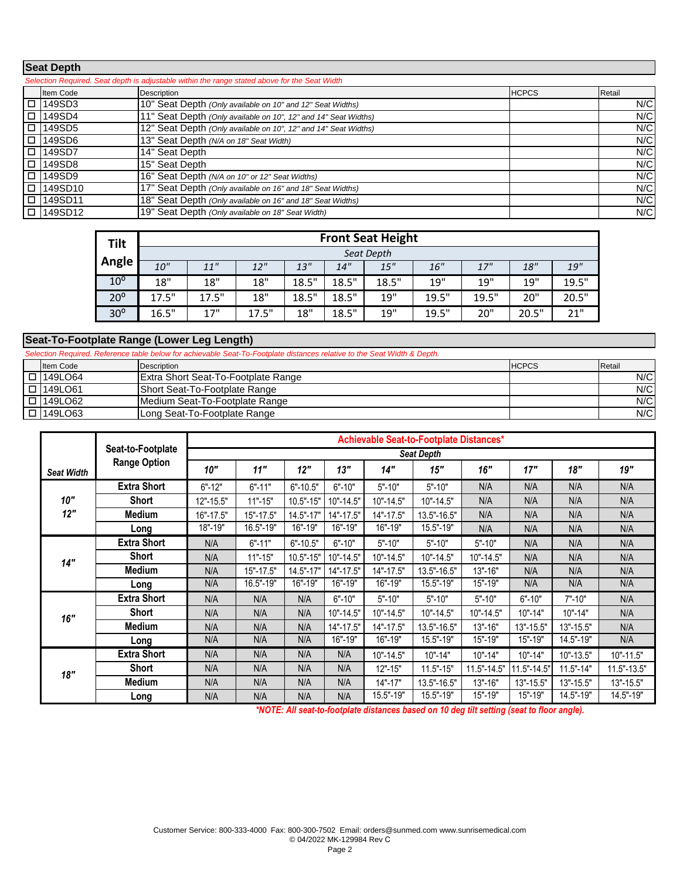#### **Seat Depth**

| Selection Required. Seat depth is adjustable within the range stated above for the Seat Width |                                                                 |              |        |  |  |  |  |  |  |  |
|-----------------------------------------------------------------------------------------------|-----------------------------------------------------------------|--------------|--------|--|--|--|--|--|--|--|
| Item Code                                                                                     | <b>Description</b>                                              | <b>HCPCS</b> | Retail |  |  |  |  |  |  |  |
| $\Box$ 149SD3                                                                                 | 10" Seat Depth (Only available on 10" and 12" Seat Widths)      |              | N/C    |  |  |  |  |  |  |  |
| $\Box$ 149SD4                                                                                 | 11" Seat Depth (Only available on 10", 12" and 14" Seat Widths) |              | N/C    |  |  |  |  |  |  |  |
| $\Box$ 149SD5                                                                                 | 12" Seat Depth (Only available on 10", 12" and 14" Seat Widths) |              | N/C    |  |  |  |  |  |  |  |
| $\Box$ 149SD6                                                                                 | 13" Seat Depth (N/A on 18" Seat Width)                          |              | N/C    |  |  |  |  |  |  |  |
| $\Box$ 149SD7                                                                                 | 14" Seat Depth                                                  |              | N/C    |  |  |  |  |  |  |  |
| $\Box$ 149SD8                                                                                 | 15" Seat Depth                                                  |              | N/C    |  |  |  |  |  |  |  |
| $\Box$ 149SD9                                                                                 | 16" Seat Depth (N/A on 10" or 12" Seat Widths)                  |              | N/C    |  |  |  |  |  |  |  |
| □ 149SD10                                                                                     | 17" Seat Depth (Only available on 16" and 18" Seat Widths)      |              | N/C    |  |  |  |  |  |  |  |
| □ 149SD11                                                                                     | 18" Seat Depth (Only available on 16" and 18" Seat Widths)      |              | N/C    |  |  |  |  |  |  |  |
| □ 149SD12                                                                                     | 19" Seat Depth (Only available on 18" Seat Width)               |              | N/C    |  |  |  |  |  |  |  |

| <b>Tilt</b>     |            |       |       |       |       | <b>Front Seat Height</b> |       |            |       |       |  |  |
|-----------------|------------|-------|-------|-------|-------|--------------------------|-------|------------|-------|-------|--|--|
|                 | Seat Depth |       |       |       |       |                          |       |            |       |       |  |  |
| Angle           | 10"        | 11"   | 12"   | 13"   | 14"   | 15"                      | 16"   | 17"        | 18"   | 19"   |  |  |
| 10 <sup>o</sup> | 18"        | 18"   | 18"   | 18.5" | 18.5" | 18.5"                    | 19"   | <b>19"</b> | 19"   | 19.5" |  |  |
| $20^{\circ}$    | 17.5"      | 17.5" | 18"   | 18.5" | 18.5" | 19"                      | 19.5" | 19.5"      | 20"   | 20.5" |  |  |
| 30 <sup>o</sup> | 16.5"      | 17"   | 17.5" | 18"   | 18.5" | 19"                      | 19.5" | 20"        | 20.5" | 21"   |  |  |

#### **Seat-To-Footplate Range (Lower Leg Length)**

Item Code Description HCPCS Retail o 149LO64 Extra Short Seat-To-Footplate Range N/C o 149LO61 Short Seat-To-Footplate Range N/C o 149LO62 Medium Seat-To-Footplate Range N/C o 149LO63 Long Seat-To-Footplate Range N/C *Selection Required. Reference table below for achievable Seat-To-Footplate distances relative to the Seat Width & Depth.*

| <b>Seat Width</b><br>10"<br>12"<br>14" |                     |                   | Achievable Seat-to-Footplate Distances* |               |            |             |               |                 |               |               |               |  |  |
|----------------------------------------|---------------------|-------------------|-----------------------------------------|---------------|------------|-------------|---------------|-----------------|---------------|---------------|---------------|--|--|
|                                        | Seat-to-Footplate   | <b>Seat Depth</b> |                                         |               |            |             |               |                 |               |               |               |  |  |
|                                        | <b>Range Option</b> | 10"               | 11"                                     | 12"           | 13"        | 14"         | 15"           | 16"             | 17"           | 18"           | 19"           |  |  |
|                                        | <b>Extra Short</b>  | $6" - 12"$        | $6" - 11"$                              | $6" - 10.5"$  | $6" - 10"$ | $5" - 10"$  | $5" - 10"$    | N/A             | N/A           | N/A           | N/A           |  |  |
|                                        | <b>Short</b>        | 12"-15.5"         | $11" - 15"$                             | $10.5" - 15"$ | 10"-14.5"  | 10"-14.5"   | $10" - 14.5"$ | N/A             | N/A           | N/A           | N/A           |  |  |
|                                        | <b>Medium</b>       | 16"-17.5"         | 15"-17.5"                               | 14.5"-17"     | 14"-17.5"  | 14"-17.5"   | 13.5"-16.5"   | N/A             | N/A           | N/A           | N/A           |  |  |
|                                        | Long                | 18"-19"           | 16.5"-19"                               | 16"-19"       | 16"-19"    | 16"-19"     | 15.5"-19"     | N/A             | N/A           | N/A           | N/A           |  |  |
|                                        | <b>Extra Short</b>  | N/A               | $6" - 11"$                              | $6" - 10.5"$  | $6" - 10"$ | $5" - 10"$  | $5" - 10"$    | $5" - 10"$      | N/A           | N/A           | N/A           |  |  |
|                                        | <b>Short</b>        | N/A               | $11" - 15"$                             | $10.5" - 15"$ | 10"-14.5"  | 10"-14.5"   | 10"-14.5"     | $10" - 14.5"$   | N/A           | N/A           | N/A           |  |  |
|                                        | <b>Medium</b>       | N/A               | 15"-17.5"                               | $14.5" - 17"$ | 14"-17.5"  | 14"-17.5"   | 13.5"-16.5"   | 13"-16"         | N/A           | N/A           | N/A           |  |  |
|                                        | Long                | N/A               | 16.5"-19"                               | 16"-19"       | 16"-19"    | 16"-19"     | 15.5"-19"     | 15"-19"         | N/A           | N/A           | N/A           |  |  |
|                                        | <b>Extra Short</b>  | N/A               | N/A                                     | N/A           | $6" - 10"$ | $5" - 10"$  | $5" - 10"$    | $5" - 10"$      | $6" - 10"$    | $7" - 10"$    | N/A           |  |  |
| 16"                                    | <b>Short</b>        | N/A               | N/A                                     | N/A           | 10"-14.5"  | 10"-14.5"   | 10"-14.5"     | $10" - 14.5"$   | $10" - 14"$   | $10" - 14"$   | N/A           |  |  |
|                                        | <b>Medium</b>       | N/A               | N/A                                     | N/A           | 14"-17.5"  | 14"-17.5"   | 13.5"-16.5"   | $13" - 16"$     | 13"-15.5"     | $13" - 15.5"$ | N/A           |  |  |
|                                        | Long                | N/A               | N/A                                     | N/A           | 16"-19"    | 16"-19"     | 15.5"-19"     | 15"-19"         | 15"-19"       | 14.5"-19"     | N/A           |  |  |
|                                        | <b>Extra Short</b>  | N/A               | N/A                                     | N/A           | N/A        | 10"-14.5"   | $10" - 14"$   | $10" - 14"$     | $10" - 14"$   | $10" - 13.5"$ | 10"-11.5"     |  |  |
| 18"                                    | <b>Short</b>        | N/A               | N/A                                     | N/A           | N/A        | $12" - 15"$ | $11.5" - 15"$ | $11.5" - 14.5"$ | 11.5"-14.5"   | $11.5" - 14"$ | 11.5"-13.5"   |  |  |
|                                        | Medium              | N/A               | N/A                                     | N/A           | N/A        | $14" - 17"$ | 13.5"-16.5"   | $13" - 16"$     | $13" - 15.5"$ | $13" - 15.5"$ | $13" - 15.5"$ |  |  |
|                                        | Long                | N/A               | N/A                                     | N/A           | N/A        | 15.5"-19"   | 15.5"-19"     | 15"-19"         | 15"-19"       | 14.5"-19"     | 14.5"-19"     |  |  |

*\*NOTE: All seat-to-footplate distances based on 10 deg tilt setting (seat to floor angle).*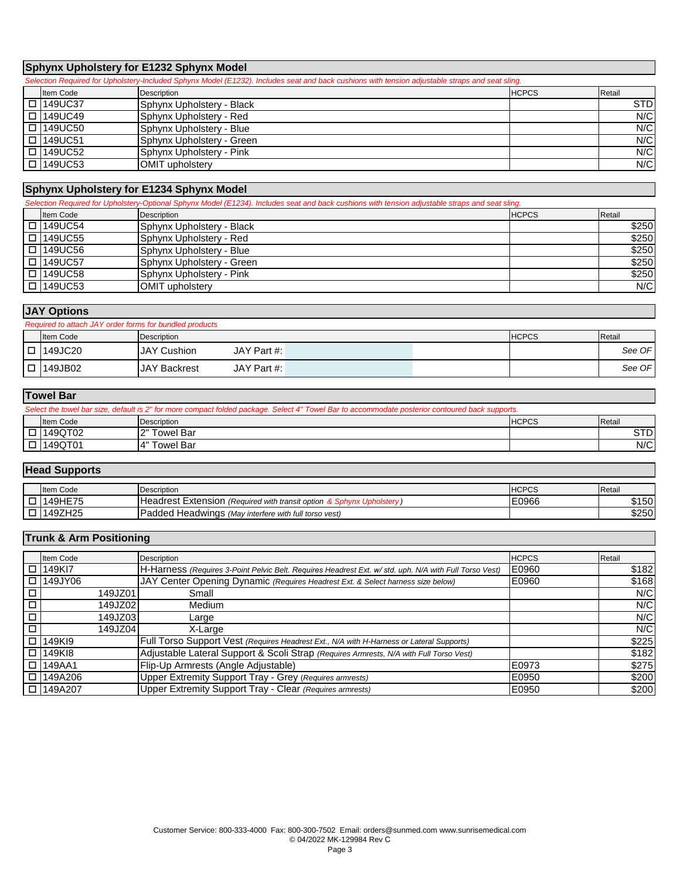## **Sphynx Upholstery for E1232 Sphynx Model**

| Selection Required for Upholstery-Included Sphynx Model (E1232). Includes seat and back cushions with tension adjustable straps and seat sling. |                           |              |            |  |  |  |  |  |  |  |
|-------------------------------------------------------------------------------------------------------------------------------------------------|---------------------------|--------------|------------|--|--|--|--|--|--|--|
| Item Code                                                                                                                                       | <b>Description</b>        | <b>HCPCS</b> | Retail     |  |  |  |  |  |  |  |
| □ 149UC37                                                                                                                                       | Sphynx Upholstery - Black |              | <b>STD</b> |  |  |  |  |  |  |  |
| □ 149UC49                                                                                                                                       | Sphynx Upholstery - Red   |              | N/C        |  |  |  |  |  |  |  |
| □ 149UC50                                                                                                                                       | Sphynx Upholstery - Blue  |              | N/C        |  |  |  |  |  |  |  |
| □ 149UC51                                                                                                                                       | Sphynx Upholstery - Green |              | N/C        |  |  |  |  |  |  |  |
| □ 149UC52                                                                                                                                       | Sphynx Upholstery - Pink  |              | N/C        |  |  |  |  |  |  |  |
| □ 149UC53                                                                                                                                       | <b>OMIT upholsterv</b>    |              | N/C        |  |  |  |  |  |  |  |

# **Sphynx Upholstery for E1234 Sphynx Model**

*Selection Required for Upholstery-Optional Sphynx Model (E1234). Includes seat and back cushions with tension adjustable straps and seat sling.*

| Item Code      | <b>Description</b>         | <b>HCPCS</b> | Retail |
|----------------|----------------------------|--------------|--------|
| I □ 149UC54    | ISphynx Upholstery - Black |              | \$250  |
| $\Box$ 149UC55 | Sphynx Upholstery - Red    |              | \$250  |
| $\Box$ 149UC56 | ISphynx Upholstery - Blue  |              | \$250  |
| I □ 149UC57    | ISphynx Upholstery - Green |              | \$250  |
| $\Box$ 149UC58 | Sphynx Upholstery - Pink   |              | \$250  |
| $\Box$ 149UC53 | <b>OMIT</b> upholsterv     |              | N/C    |

### **JAY Options**

| Required to attach JAY order forms for bundled products |                     |             |  |              |        |        |  |  |  |  |  |
|---------------------------------------------------------|---------------------|-------------|--|--------------|--------|--------|--|--|--|--|--|
| Item Code                                               | Description         |             |  | <b>HCPCS</b> | Retail |        |  |  |  |  |  |
| $\Box$ 149JC20                                          | <b>JAY Cushion</b>  | JAY Part #: |  |              |        | See OF |  |  |  |  |  |
| $\Box$ 149JB02                                          | <b>JAY Backrest</b> | JAY Part #: |  |              |        | See OF |  |  |  |  |  |

### **Towel Bar**

|          | Select the towel bar size, default is 2" for more compact folded package. Select 4" Towel Bar to accommodate posterior contoured back supports. |                  |              |        |  |  |  |  |  |  |
|----------|-------------------------------------------------------------------------------------------------------------------------------------------------|------------------|--------------|--------|--|--|--|--|--|--|
|          | <b>Item Code</b>                                                                                                                                | Description      | <b>HCPCS</b> | Retail |  |  |  |  |  |  |
| $\Box$   | 149QT02                                                                                                                                         | Towel Bar<br>יהו |              | STDI   |  |  |  |  |  |  |
| $\Gamma$ | 149QT01                                                                                                                                         | Гоwel Bar<br>14" |              | N/C    |  |  |  |  |  |  |

#### **Head Supports**

| <b>Item Code</b> | Description                                             | LICDCC<br>INUPUS | Retail |
|------------------|---------------------------------------------------------|------------------|--------|
| <b>49HE75</b>    | <b>Headrest Extension (Required with transit option</b> | E0966            | \$150  |
| 149ZH25          | Padded Headwings (May interfere with full torso vest)   |                  | \$250  |

## **Trunk & Arm Positioning**

|        | Item Code          | Description                                                                                            | <b>HCPCS</b> | Retail |
|--------|--------------------|--------------------------------------------------------------------------------------------------------|--------------|--------|
| $\Box$ | 149KI7             | H-Harness (Requires 3-Point Pelvic Belt. Requires Headrest Ext. w/ std. uph. N/A with Full Torso Vest) | E0960        | \$182  |
| $\Box$ | 149JY06            | JAY Center Opening Dynamic (Requires Headrest Ext. & Select harness size below)                        | E0960        | \$168  |
|        | 149JZ01            | Small                                                                                                  |              | N/C    |
| О      | 149JZ02            | Medium                                                                                                 |              | N/C    |
| □      | 149JZ03            | Large                                                                                                  |              | N/C    |
| $\Box$ | 149JZ04            | X-Large                                                                                                |              | N/C    |
| □      | 149KI9             | Full Torso Support Vest (Requires Headrest Ext., N/A with H-Harness or Lateral Supports)               |              | \$225  |
| $\Box$ | 149K <sub>18</sub> | Adjustable Lateral Support & Scoli Strap (Requires Armrests, N/A with Full Torso Vest)                 |              | \$182  |
| $\Box$ | 149AA1             | Flip-Up Armrests (Angle Adjustable)                                                                    | E0973        | \$275  |
| $\Box$ | 149A206            | Upper Extremity Support Tray - Grey (Requires armrests)                                                | E0950        | \$200  |
|        | □ 149A207          | Upper Extremity Support Tray - Clear (Requires armrests)                                               | E0950        | \$200  |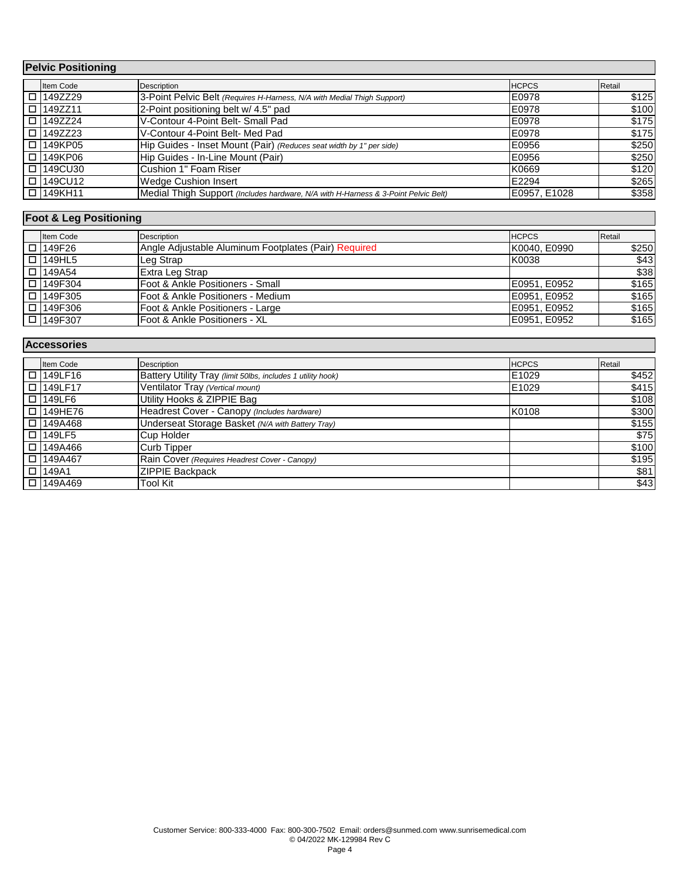| <b>Pelvic Positioning</b> |                  |                                                                                    |              |        |
|---------------------------|------------------|------------------------------------------------------------------------------------|--------------|--------|
|                           | Item Code        | Description                                                                        | <b>HCPCS</b> | Retail |
|                           | □ 149ZZ29        | 3-Point Pelvic Belt (Requires H-Harness, N/A with Medial Thigh Support)            | E0978        | \$125  |
|                           | □ 149ZZ11        | 2-Point positioning belt w/ 4.5" pad                                               | E0978        | \$100  |
|                           | $\Box$ 149ZZ24   | V-Contour 4-Point Belt- Small Pad                                                  | E0978        | \$175  |
|                           | $\Box$ $149ZZ23$ | V-Contour 4-Point Belt- Med Pad                                                    | E0978        | \$175  |
|                           | □ 149KP05        | Hip Guides - Inset Mount (Pair) (Reduces seat width by 1" per side)                | E0956        | \$250  |
|                           | $\Box$ 149KP06   | Hip Guides - In-Line Mount (Pair)                                                  | E0956        | \$250  |
|                           | □ 149CU30        | Cushion 1" Foam Riser                                                              | K0669        | \$120  |
|                           | □ 149CU12        | <b>Wedge Cushion Insert</b>                                                        | E2294        | \$265  |
|                           | □ 149KH11        | Medial Thigh Support (Includes hardware, N/A with H-Harness & 3-Point Pelvic Belt) | E0957, E1028 | \$358  |

# **Foot & Leg Positioning**

| Item Code     | Description                                          | <b>HCPCS</b> | Retail |
|---------------|------------------------------------------------------|--------------|--------|
| □ 149F26      | Angle Adjustable Aluminum Footplates (Pair) Required | K0040, E0990 | \$250  |
| $\Box$ 149HL5 | Leg Strap                                            | K0038        | \$43   |
| $\Box$ 149A54 | Extra Leg Strap                                      |              | \$38   |
| □ 149F304     | Foot & Ankle Positioners - Small                     | E0951, E0952 | \$165  |
| □ 149F305     | Foot & Ankle Positioners - Medium                    | E0951, E0952 | \$165  |
| □ 149F306     | Foot & Ankle Positioners - Large                     | E0951, E0952 | \$165  |
| □ 149F307     | Foot & Ankle Positioners - XL                        | E0951, E0952 | \$165  |

| <b>Accessories</b> |                |                                                             |              |        |
|--------------------|----------------|-------------------------------------------------------------|--------------|--------|
|                    | Item Code      | <b>Description</b>                                          | <b>HCPCS</b> | Retail |
|                    | $\Box$ 149LF16 | Battery Utility Tray (limit 50lbs, includes 1 utility hook) | E1029        | \$452  |
|                    | I □ 149LF17    | Ventilator Tray (Vertical mount)                            | E1029        | \$415  |
|                    | I □ I149LF6    | Utility Hooks & ZIPPIE Bag                                  |              | \$108  |
|                    | I □ I149HE76   | Headrest Cover - Canopy (Includes hardware)                 | K0108        | \$300  |
|                    | $\Box$ 149A468 | Underseat Storage Basket (N/A with Battery Tray)            |              | \$155  |
|                    | I □ I149LF5    | <b>Cup Holder</b>                                           |              | \$75]  |
|                    | I □ I149A466   | <b>Curb Tipper</b>                                          |              | \$100  |
|                    | I □ I149A467   | Rain Cover (Requires Headrest Cover - Canopy)               |              | \$195  |
|                    | $\Box$ 149A1   | <b>ZIPPIE Backpack</b>                                      |              | \$81   |
|                    | $\Box$ 149A469 | <b>Tool Kit</b>                                             |              | \$43]  |